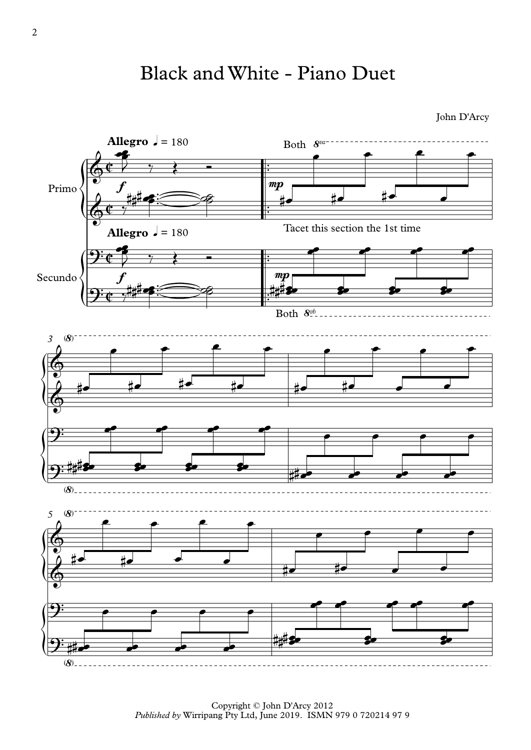## Black and White - Piano Duet

John D'Arcy



Copyright © John D'Arcy 2012 *Published by* Wirripang Pty Ltd, June 2019. ISMN 979 0 720214 97 9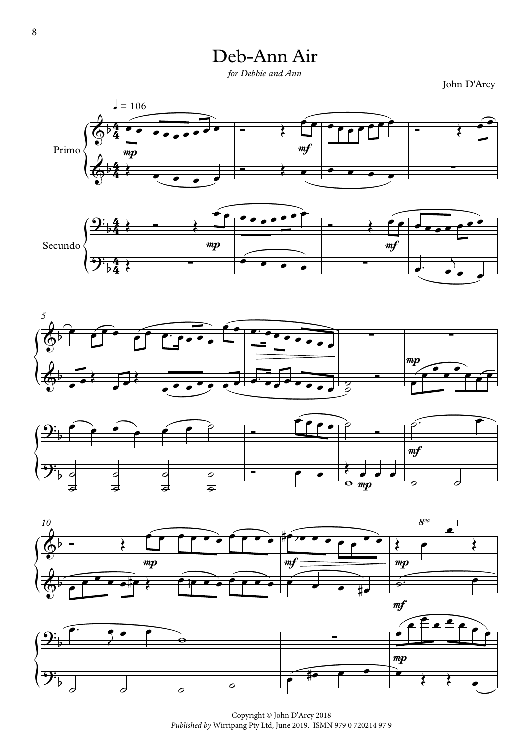## Deb-Ann Air

*for Debbie and Ann*

John D'Arcy







Copyright © John D'Arcy 2018 *Published by* Wirripang Pty Ltd, June 2019. ISMN 979 0 720214 97 9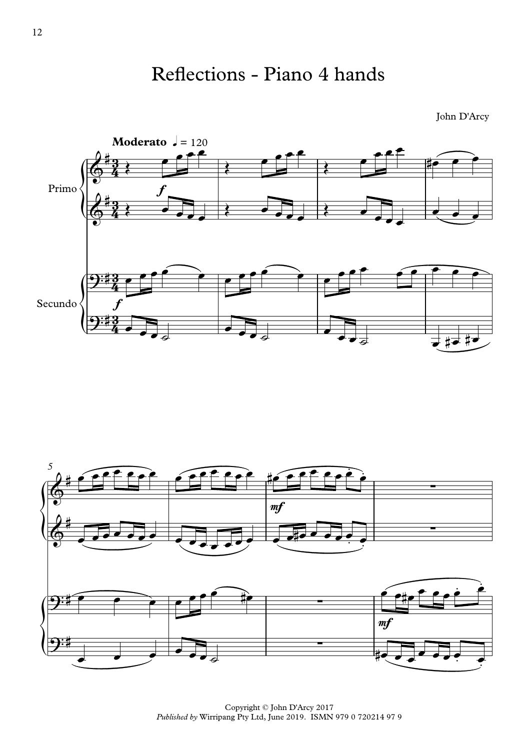

John D'Arcy



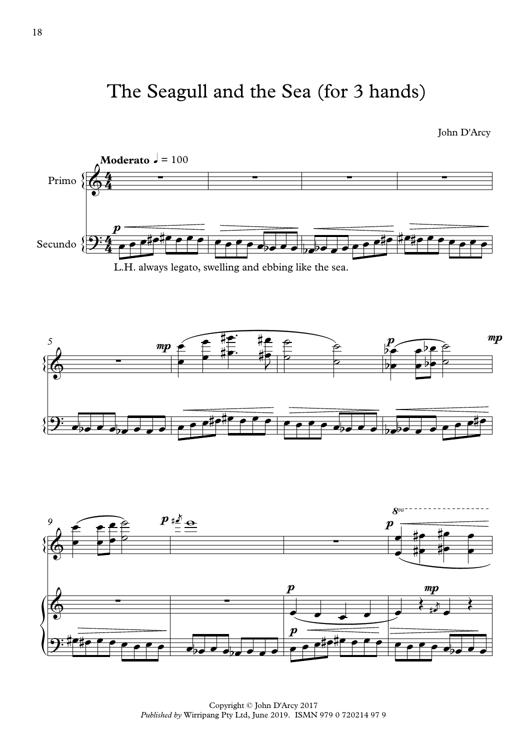## The Seagull and the Sea (for 3 hands)

John D'Arcy